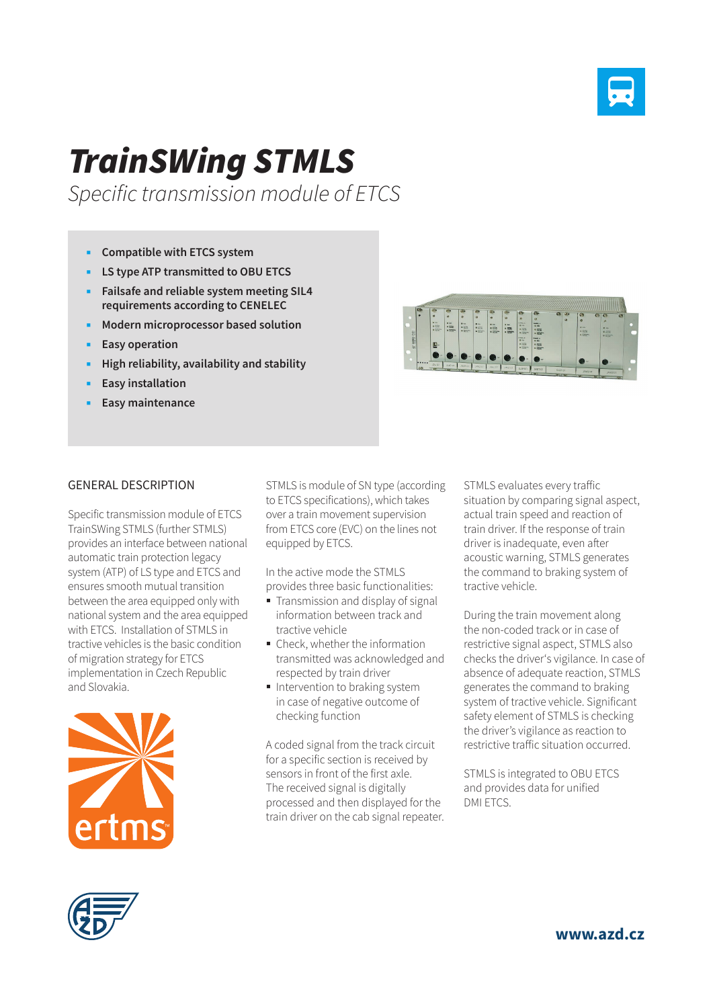

## *TrainSWing STMLS*

*Specific transmission module of ETCS*

- **Compatible with ETCS system**
- **LS type ATP transmitted to OBU ETCS**
- **Failsafe and reliable system meeting SIL4 requirements according to CENELEC**
- **Modern microprocessor based solution**
- **Easy operation**
- **High reliability, availability and stability**
- **Easy installation**
- **Easy maintenance**



## GENERAL DESCRIPTION

Specific transmission module of ETCS TrainSWing STMLS (further STMLS) provides an interface between national automatic train protection legacy system (ATP) of LS type and ETCS and ensures smooth mutual transition between the area equipped only with national system and the area equipped with ETCS. Installation of STMLS in tractive vehicles is the basic condition of migration strategy for ETCS implementation in Czech Republic and Slovakia.



STMLS is module of SN type (according to ETCS specifications), which takes over a train movement supervision from ETCS core (EVC) on the lines not equipped by ETCS.

In the active mode the STMLS provides three basic functionalities:

- **Transmission and display of signal** information between track and tractive vehicle
- Check, whether the information transmitted was acknowledged and respected by train driver
- Intervention to braking system in case of negative outcome of checking function

A coded signal from the track circuit for a specific section is received by sensors in front of the first axle. The received signal is digitally processed and then displayed for the train driver on the cab signal repeater. STMLS evaluates every traffic situation by comparing signal aspect, actual train speed and reaction of train driver. If the response of train driver is inadequate, even after acoustic warning, STMLS generates the command to braking system of tractive vehicle.

During the train movement along the non-coded track or in case of restrictive signal aspect, STMLS also checks the driver's vigilance. In case of absence of adequate reaction, STMLS generates the command to braking system of tractive vehicle. Significant safety element of STMLS is checking the driver's vigilance as reaction to restrictive traffic situation occurred.

STMLS is integrated to OBU ETCS and provides data for unified DMI ETCS.